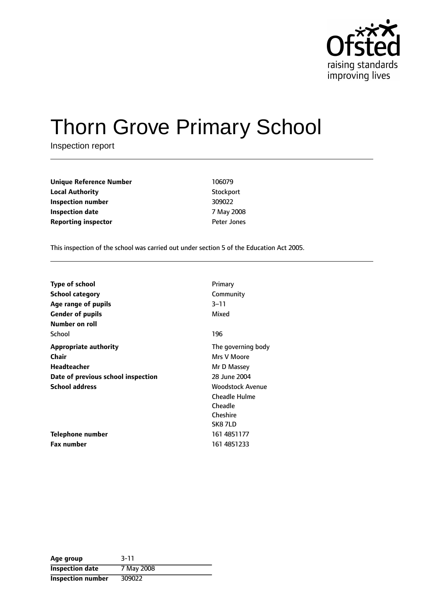

# Thorn Grove Primary School

Inspection report

| Unique Reference Number    | 106079             |
|----------------------------|--------------------|
| Local Authority            | Stockport          |
| Inspection number          | 309022             |
| Inspection date            | 7 May 2008         |
| <b>Reporting inspector</b> | <b>Peter Jones</b> |
|                            |                    |

This inspection of the school was carried out under section 5 of the Education Act 2005.

| <b>Type of school</b>              | Primary                 |
|------------------------------------|-------------------------|
| <b>School category</b>             | Community               |
| Age range of pupils                | $3 - 11$                |
| <b>Gender of pupils</b>            | Mixed                   |
| Number on roll                     |                         |
| School                             | 196                     |
| <b>Appropriate authority</b>       | The governing body      |
| Chair                              | Mrs V Moore             |
| <b>Headteacher</b>                 | Mr D Massey             |
| Date of previous school inspection | 28 June 2004            |
| <b>School address</b>              | <b>Woodstock Avenue</b> |
|                                    | <b>Cheadle Hulme</b>    |
|                                    | Cheadle                 |
|                                    | Cheshire                |
|                                    | SK87LD                  |
| Telephone number                   | 161 4851177             |
| <b>Fax number</b>                  | 161 4851233             |

| Age group                | $3 - 11$   |
|--------------------------|------------|
| <b>Inspection date</b>   | 7 May 2008 |
| <b>Inspection number</b> | 309022     |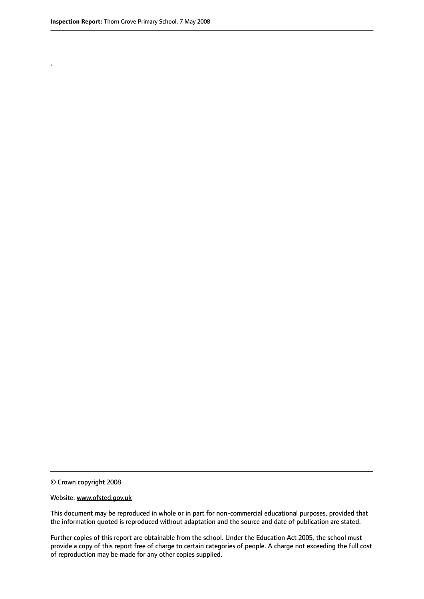.

© Crown copyright 2008

#### Website: www.ofsted.gov.uk

This document may be reproduced in whole or in part for non-commercial educational purposes, provided that the information quoted is reproduced without adaptation and the source and date of publication are stated.

Further copies of this report are obtainable from the school. Under the Education Act 2005, the school must provide a copy of this report free of charge to certain categories of people. A charge not exceeding the full cost of reproduction may be made for any other copies supplied.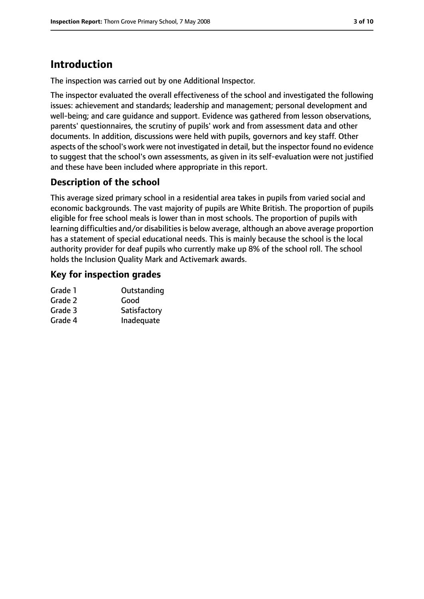## **Introduction**

The inspection was carried out by one Additional Inspector.

The inspector evaluated the overall effectiveness of the school and investigated the following issues: achievement and standards; leadership and management; personal development and well-being; and care guidance and support. Evidence was gathered from lesson observations, parents' questionnaires, the scrutiny of pupils' work and from assessment data and other documents. In addition, discussions were held with pupils, governors and key staff. Other aspects of the school's work were not investigated in detail, but the inspector found no evidence to suggest that the school's own assessments, as given in its self-evaluation were not justified and these have been included where appropriate in this report.

## **Description of the school**

This average sized primary school in a residential area takes in pupils from varied social and economic backgrounds. The vast majority of pupils are White British. The proportion of pupils eligible for free school meals is lower than in most schools. The proportion of pupils with learning difficulties and/or disabilities is below average, although an above average proportion has a statement of special educational needs. This is mainly because the school is the local authority provider for deaf pupils who currently make up 8% of the school roll. The school holds the Inclusion Quality Mark and Activemark awards.

#### **Key for inspection grades**

| Grade 1 | Outstanding  |
|---------|--------------|
| Grade 2 | Good         |
| Grade 3 | Satisfactory |
| Grade 4 | Inadequate   |
|         |              |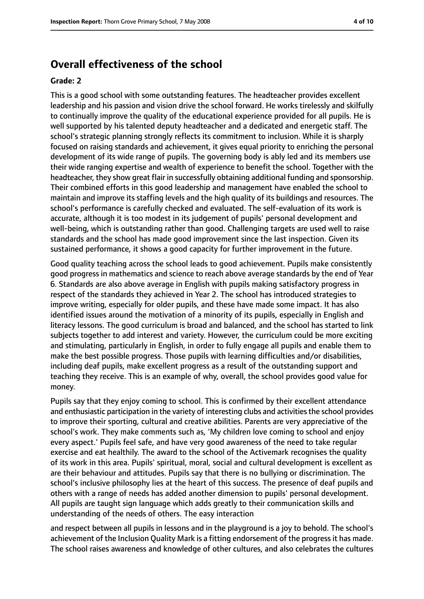## **Overall effectiveness of the school**

#### **Grade: 2**

This is a good school with some outstanding features. The headteacher provides excellent leadership and his passion and vision drive the school forward. He works tirelessly and skilfully to continually improve the quality of the educational experience provided for all pupils. He is well supported by his talented deputy headteacher and a dedicated and energetic staff. The school's strategic planning strongly reflects its commitment to inclusion. While it is sharply focused on raising standards and achievement, it gives equal priority to enriching the personal development of its wide range of pupils. The governing body is ably led and its members use their wide ranging expertise and wealth of experience to benefit the school. Together with the headteacher, they show great flair in successfully obtaining additional funding and sponsorship. Their combined efforts in this good leadership and management have enabled the school to maintain and improve its staffing levels and the high quality of its buildings and resources. The school's performance is carefully checked and evaluated. The self-evaluation of its work is accurate, although it is too modest in its judgement of pupils' personal development and well-being, which is outstanding rather than good. Challenging targets are used well to raise standards and the school has made good improvement since the last inspection. Given its sustained performance, it shows a good capacity for further improvement in the future.

Good quality teaching across the school leads to good achievement. Pupils make consistently good progress in mathematics and science to reach above average standards by the end of Year 6. Standards are also above average in English with pupils making satisfactory progress in respect of the standards they achieved in Year 2. The school has introduced strategies to improve writing, especially for older pupils, and these have made some impact. It has also identified issues around the motivation of a minority of its pupils, especially in English and literacy lessons. The good curriculum is broad and balanced, and the school has started to link subjects together to add interest and variety. However, the curriculum could be more exciting and stimulating, particularly in English, in order to fully engage all pupils and enable them to make the best possible progress. Those pupils with learning difficulties and/or disabilities, including deaf pupils, make excellent progress as a result of the outstanding support and teaching they receive. This is an example of why, overall, the school provides good value for money.

Pupils say that they enjoy coming to school. This is confirmed by their excellent attendance and enthusiastic participation in the variety of interesting clubs and activitiesthe school provides to improve their sporting, cultural and creative abilities. Parents are very appreciative of the school's work. They make comments such as, 'My children love coming to school and enjoy every aspect.' Pupils feel safe, and have very good awareness of the need to take regular exercise and eat healthily. The award to the school of the Activemark recognises the quality of its work in this area. Pupils' spiritual, moral, social and cultural development is excellent as are their behaviour and attitudes. Pupils say that there is no bullying or discrimination. The school's inclusive philosophy lies at the heart of this success. The presence of deaf pupils and others with a range of needs has added another dimension to pupils' personal development. All pupils are taught sign language which adds greatly to their communication skills and understanding of the needs of others. The easy interaction

and respect between all pupils in lessons and in the playground is a joy to behold. The school's achievement of the Inclusion Quality Mark is a fitting endorsement of the progressit has made. The school raises awareness and knowledge of other cultures, and also celebrates the cultures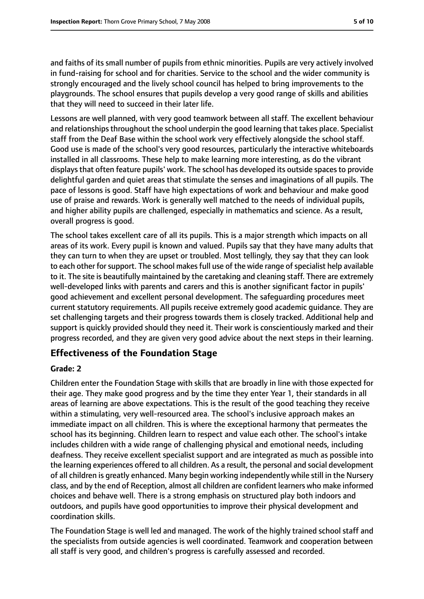and faiths of its small number of pupils from ethnic minorities. Pupils are very actively involved in fund-raising for school and for charities. Service to the school and the wider community is strongly encouraged and the lively school council has helped to bring improvements to the playgrounds. The school ensures that pupils develop a very good range of skills and abilities that they will need to succeed in their later life.

Lessons are well planned, with very good teamwork between all staff. The excellent behaviour and relationships throughout the school underpin the good learning that takes place. Specialist staff from the Deaf Base within the school work very effectively alongside the school staff. Good use is made of the school's very good resources, particularly the interactive whiteboards installed in all classrooms. These help to make learning more interesting, as do the vibrant displays that often feature pupils' work. The school has developed its outside spaces to provide delightful garden and quiet areas that stimulate the senses and imaginations of all pupils. The pace of lessons is good. Staff have high expectations of work and behaviour and make good use of praise and rewards. Work is generally well matched to the needs of individual pupils, and higher ability pupils are challenged, especially in mathematics and science. As a result, overall progress is good.

The school takes excellent care of all its pupils. This is a major strength which impacts on all areas of its work. Every pupil is known and valued. Pupils say that they have many adults that they can turn to when they are upset or troubled. Most tellingly, they say that they can look to each other for support. The school makes full use of the wide range of specialist help available to it. The site is beautifully maintained by the caretaking and cleaning staff. There are extremely well-developed links with parents and carers and this is another significant factor in pupils' good achievement and excellent personal development. The safeguarding procedures meet current statutory requirements. All pupils receive extremely good academic guidance. They are set challenging targets and their progress towards them is closely tracked. Additional help and support is quickly provided should they need it. Their work is conscientiously marked and their progress recorded, and they are given very good advice about the next steps in their learning.

#### **Effectiveness of the Foundation Stage**

#### **Grade: 2**

Children enter the Foundation Stage with skills that are broadly in line with those expected for their age. They make good progress and by the time they enter Year 1, their standards in all areas of learning are above expectations. This is the result of the good teaching they receive within a stimulating, very well-resourced area. The school's inclusive approach makes an immediate impact on all children. This is where the exceptional harmony that permeates the school has its beginning. Children learn to respect and value each other. The school's intake includes children with a wide range of challenging physical and emotional needs, including deafness. They receive excellent specialist support and are integrated as much as possible into the learning experiences offered to all children. As a result, the personal and social development of all children is greatly enhanced. Many begin working independently while still in the Nursery class, and by the end of Reception, almost all children are confident learners who make informed choices and behave well. There is a strong emphasis on structured play both indoors and outdoors, and pupils have good opportunities to improve their physical development and coordination skills.

The Foundation Stage is well led and managed. The work of the highly trained school staff and the specialists from outside agencies is well coordinated. Teamwork and cooperation between all staff is very good, and children's progress is carefully assessed and recorded.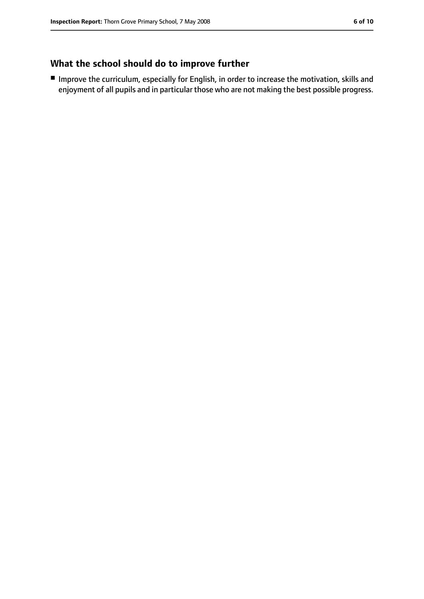## **What the school should do to improve further**

■ Improve the curriculum, especially for English, in order to increase the motivation, skills and enjoyment of all pupils and in particular those who are not making the best possible progress.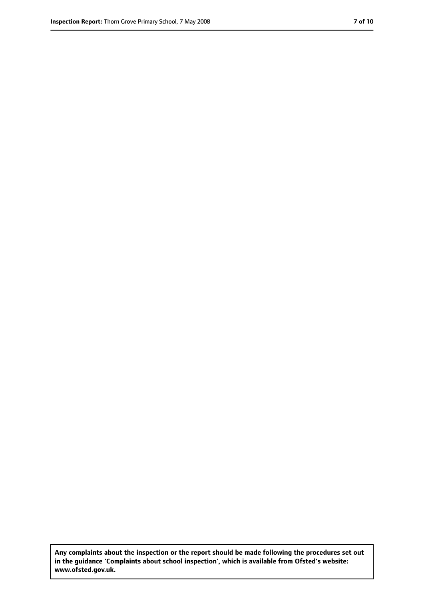**Any complaints about the inspection or the report should be made following the procedures set out in the guidance 'Complaints about school inspection', which is available from Ofsted's website: www.ofsted.gov.uk.**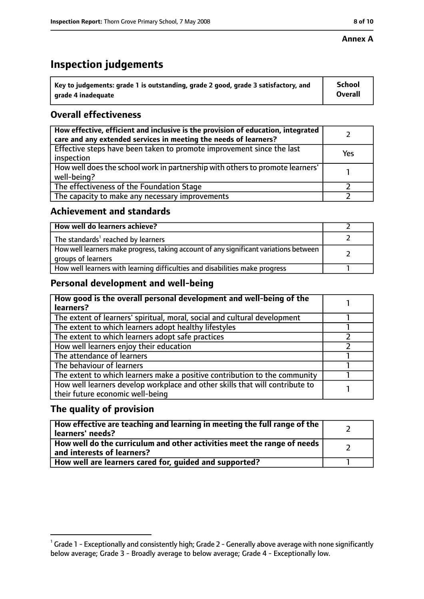#### **Annex A**

# **Inspection judgements**

| $^{\circ}$ Key to judgements: grade 1 is outstanding, grade 2 good, grade 3 satisfactory, and | <b>School</b>  |
|-----------------------------------------------------------------------------------------------|----------------|
| arade 4 inadeguate                                                                            | <b>Overall</b> |

## **Overall effectiveness**

| How effective, efficient and inclusive is the provision of education, integrated<br>care and any extended services in meeting the needs of learners? |     |
|------------------------------------------------------------------------------------------------------------------------------------------------------|-----|
| Effective steps have been taken to promote improvement since the last<br>inspection                                                                  | Yes |
| How well does the school work in partnership with others to promote learners'<br>well-being?                                                         |     |
| The effectiveness of the Foundation Stage                                                                                                            |     |
| The capacity to make any necessary improvements                                                                                                      |     |

#### **Achievement and standards**

| How well do learners achieve?                                                                               |  |
|-------------------------------------------------------------------------------------------------------------|--|
| The standards <sup>1</sup> reached by learners                                                              |  |
| How well learners make progress, taking account of any significant variations between<br>groups of learners |  |
| How well learners with learning difficulties and disabilities make progress                                 |  |

#### **Personal development and well-being**

| How good is the overall personal development and well-being of the<br>learners?                                  |  |
|------------------------------------------------------------------------------------------------------------------|--|
| The extent of learners' spiritual, moral, social and cultural development                                        |  |
| The extent to which learners adopt healthy lifestyles                                                            |  |
| The extent to which learners adopt safe practices                                                                |  |
| How well learners enjoy their education                                                                          |  |
| The attendance of learners                                                                                       |  |
| The behaviour of learners                                                                                        |  |
| The extent to which learners make a positive contribution to the community                                       |  |
| How well learners develop workplace and other skills that will contribute to<br>their future economic well-being |  |

#### **The quality of provision**

| How effective are teaching and learning in meeting the full range of the<br>learners' needs?          |  |
|-------------------------------------------------------------------------------------------------------|--|
| How well do the curriculum and other activities meet the range of needs<br>and interests of learners? |  |
| How well are learners cared for, quided and supported?                                                |  |

 $^1$  Grade 1 - Exceptionally and consistently high; Grade 2 - Generally above average with none significantly below average; Grade 3 - Broadly average to below average; Grade 4 - Exceptionally low.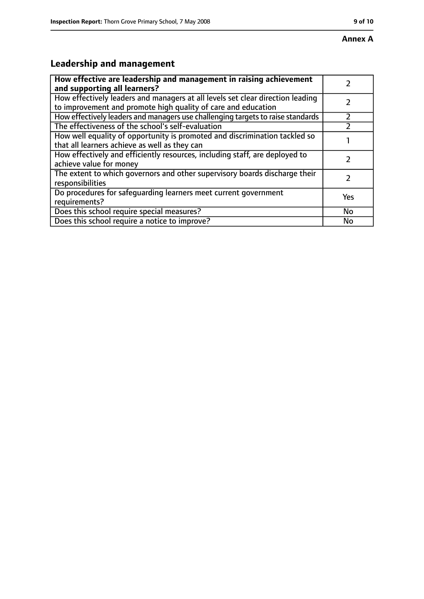## **Annex A**

## **Leadership and management**

| How effective are leadership and management in raising achievement<br>and supporting all learners?                                              |     |
|-------------------------------------------------------------------------------------------------------------------------------------------------|-----|
| How effectively leaders and managers at all levels set clear direction leading<br>to improvement and promote high quality of care and education |     |
| How effectively leaders and managers use challenging targets to raise standards                                                                 |     |
| The effectiveness of the school's self-evaluation                                                                                               |     |
| How well equality of opportunity is promoted and discrimination tackled so<br>that all learners achieve as well as they can                     |     |
| How effectively and efficiently resources, including staff, are deployed to<br>achieve value for money                                          |     |
| The extent to which governors and other supervisory boards discharge their<br>responsibilities                                                  |     |
| Do procedures for safequarding learners meet current government<br>requirements?                                                                | Yes |
| Does this school require special measures?                                                                                                      | No  |
| Does this school require a notice to improve?                                                                                                   | No  |